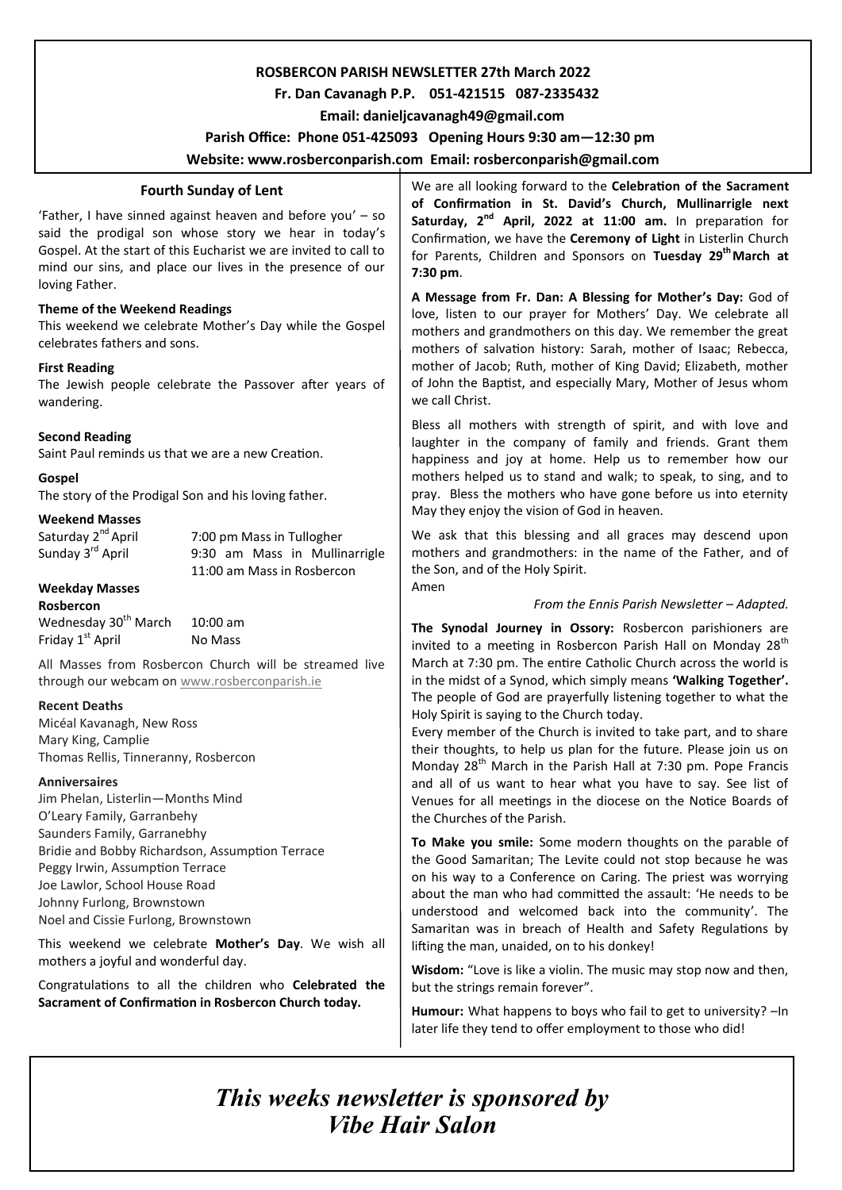## **ROSBERCON PARISH NEWSLETTER 27th March 2022**

## **Fr. Dan Cavanagh P.P. 051-421515 087-2335432**

 **Email: danieljcavanagh49@gmail.com**

 **Parish Office: Phone 051-425093****Opening Hours 9:30 am—12:30 pm** 

**Website: www.rosberconparish.com Email: rosberconparish@gmail.com**

## **Fourth Sunday of Lent**

'Father, I have sinned against heaven and before you' – so said the prodigal son whose story we hear in today's Gospel. At the start of this Eucharist we are invited to call to mind our sins, and place our lives in the presence of our loving Father.

## **Theme of the Weekend Readings**

This weekend we celebrate Mother's Day while the Gospel celebrates fathers and sons.

## **First Reading**

The Jewish people celebrate the Passover after years of wandering.

## **Second Reading**

Saint Paul reminds us that we are a new Creation.

## **Gospel**

The story of the Prodigal Son and his loving father.

## **Weekend Masses**

Saturday  $2^{nd}$  April 7:00 pm Mass in Tullogher<br>Sunday  $3^{rd}$  April 9:30 am Mass in Mullir 9:30 am Mass in Mullinarrigle 11:00 am Mass in Rosbercon

## **Weekday Masses**

**Rosbercon** Wednesday 30<sup>th</sup> March 10:00 am Friday  $1^{st}$  April No Mass

All Masses from Rosbercon Church will be streamed live through our webcam on [www.rosberconparish.ie](http://www.rosberconparish.ie/)

## **Recent Deaths**

Micéal Kavanagh, New Ross Mary King, Camplie Thomas Rellis, Tinneranny, Rosbercon

## **Anniversaires**

Jim Phelan, Listerlin—Months Mind O'Leary Family, Garranbehy Saunders Family, Garranebhy Bridie and Bobby Richardson, Assumption Terrace Peggy Irwin, Assumption Terrace Joe Lawlor, School House Road Johnny Furlong, Brownstown Noel and Cissie Furlong, Brownstown

This weekend we celebrate **Mother's Day**. We wish all mothers a joyful and wonderful day.

Congratulations to all the children who **Celebrated the Sacrament of Confirmation in Rosbercon Church today.** 

We are all looking forward to the **Celebration of the Sacrament of Confirmation in St. David's Church, Mullinarrigle next Saturday, 2nd April, 2022 at 11:00 am.** In preparation for Confirmation, we have the **Ceremony of Light** in Listerlin Church for Parents, Children and Sponsors on **Tuesday 29th March at 7:30 pm**.

**A Message from Fr. Dan: A Blessing for Mother's Day:** God of love, listen to our prayer for Mothers' Day. We celebrate all mothers and grandmothers on this day. We remember the great mothers of salvation history: Sarah, mother of Isaac; Rebecca, mother of Jacob; Ruth, mother of King David; Elizabeth, mother of John the Baptist, and especially Mary, Mother of Jesus whom we call Christ.

Bless all mothers with strength of spirit, and with love and laughter in the company of family and friends. Grant them happiness and joy at home. Help us to remember how our mothers helped us to stand and walk; to speak, to sing, and to pray. Bless the mothers who have gone before us into eternity May they enjoy the vision of God in heaven.

We ask that this blessing and all graces may descend upon mothers and grandmothers: in the name of the Father, and of the Son, and of the Holy Spirit. Amen

## *From the Ennis Parish Newsletter – Adapted.*

**The Synodal Journey in Ossory:** Rosbercon parishioners are invited to a meeting in Rosbercon Parish Hall on Monday  $28<sup>th</sup>$ March at 7:30 pm. The entire Catholic Church across the world is in the midst of a Synod, which simply means **'Walking Together'.** The people of God are prayerfully listening together to what the Holy Spirit is saying to the Church today.

Every member of the Church is invited to take part, and to share their thoughts, to help us plan for the future. Please join us on Monday 28<sup>th</sup> March in the Parish Hall at 7:30 pm. Pope Francis and all of us want to hear what you have to say. See list of Venues for all meetings in the diocese on the Notice Boards of the Churches of the Parish.

**To Make you smile:** Some modern thoughts on the parable of the Good Samaritan; The Levite could not stop because he was on his way to a Conference on Caring. The priest was worrying about the man who had committed the assault: 'He needs to be understood and welcomed back into the community'. The Samaritan was in breach of Health and Safety Regulations by lifting the man, unaided, on to his donkey!

**Wisdom:** "Love is like a violin. The music may stop now and then, but the strings remain forever".

**Humour:** What happens to boys who fail to get to university? –In later life they tend to offer employment to those who did!

*This weeks newsletter is sponsored by Vibe Hair Salon*